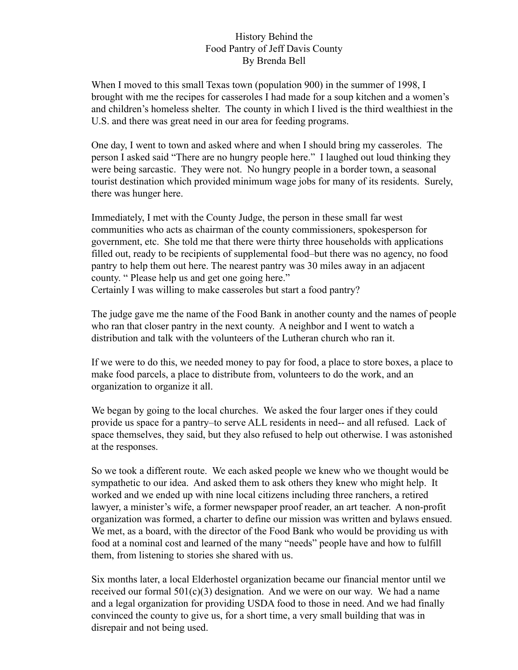## History Behind the Food Pantry of Jeff Davis County By Brenda Bell

When I moved to this small Texas town (population 900) in the summer of 1998, I brought with me the recipes for casseroles I had made for a soup kitchen and a women's and children's homeless shelter. The county in which I lived is the third wealthiest in the U.S. and there was great need in our area for feeding programs.

One day, I went to town and asked where and when I should bring my casseroles. The person I asked said "There are no hungry people here." I laughed out loud thinking they were being sarcastic. They were not. No hungry people in a border town, a seasonal tourist destination which provided minimum wage jobs for many of its residents. Surely, there was hunger here.

Immediately, I met with the County Judge, the person in these small far west communities who acts as chairman of the county commissioners, spokesperson for government, etc. She told me that there were thirty three households with applications filled out, ready to be recipients of supplemental food–but there was no agency, no food pantry to help them out here. The nearest pantry was 30 miles away in an adjacent county. " Please help us and get one going here."

Certainly I was willing to make casseroles but start a food pantry?

The judge gave me the name of the Food Bank in another county and the names of people who ran that closer pantry in the next county. A neighbor and I went to watch a distribution and talk with the volunteers of the Lutheran church who ran it.

If we were to do this, we needed money to pay for food, a place to store boxes, a place to make food parcels, a place to distribute from, volunteers to do the work, and an organization to organize it all.

We began by going to the local churches. We asked the four larger ones if they could provide us space for a pantry–to serve ALL residents in need-- and all refused. Lack of space themselves, they said, but they also refused to help out otherwise. I was astonished at the responses.

So we took a different route. We each asked people we knew who we thought would be sympathetic to our idea. And asked them to ask others they knew who might help. It worked and we ended up with nine local citizens including three ranchers, a retired lawyer, a minister's wife, a former newspaper proof reader, an art teacher. A non-profit organization was formed, a charter to define our mission was written and bylaws ensued. We met, as a board, with the director of the Food Bank who would be providing us with food at a nominal cost and learned of the many "needs" people have and how to fulfill them, from listening to stories she shared with us.

Six months later, a local Elderhostel organization became our financial mentor until we received our formal  $501(c)(3)$  designation. And we were on our way. We had a name and a legal organization for providing USDA food to those in need. And we had finally convinced the county to give us, for a short time, a very small building that was in disrepair and not being used.